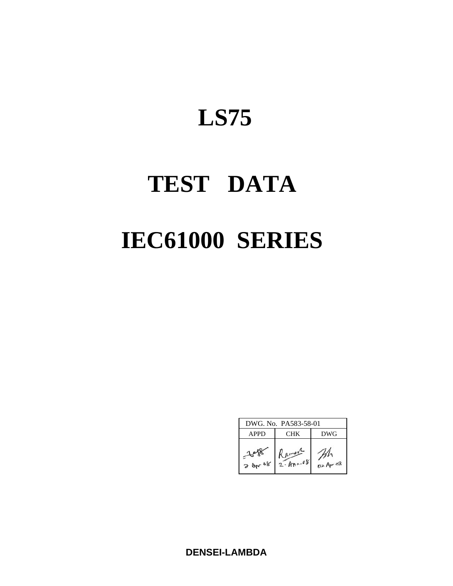# **LS75**

# **TEST DATA IEC61000 SERIES**

|                  | DWG. No. PA583-58-01      |             |
|------------------|---------------------------|-------------|
| APPD             | CHK                       | DWG         |
| 36 <sub>pr</sub> | Kamer<br>$2 - An \cdot 8$ | $02$ Apr 08 |

**DENSEI-LAMBDA**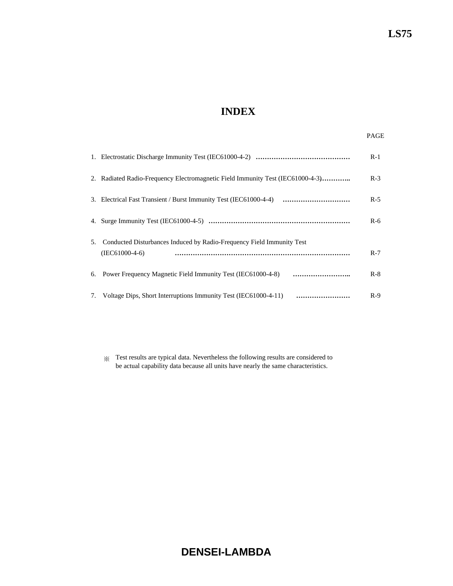# **INDEX**

|    |                                                                                           | $R-1$ |
|----|-------------------------------------------------------------------------------------------|-------|
|    | 2. Radiated Radio-Frequency Electromagnetic Field Immunity Test (IEC61000-4-3)            | $R-3$ |
|    |                                                                                           | $R-5$ |
|    |                                                                                           | $R-6$ |
| 5. | Conducted Disturbances Induced by Radio-Frequency Field Immunity Test<br>$(IEC61000-4-6)$ | $R-7$ |
|    |                                                                                           | $R-8$ |
|    | 7. Voltage Dips, Short Interruptions Immunity Test (IEC61000-4-11)                        | $R-9$ |

※ Test results are typical data. Nevertheless the following results are considered to be actual capability data because all units have nearly the same characteristics.

# **DENSEI-LAMBDA**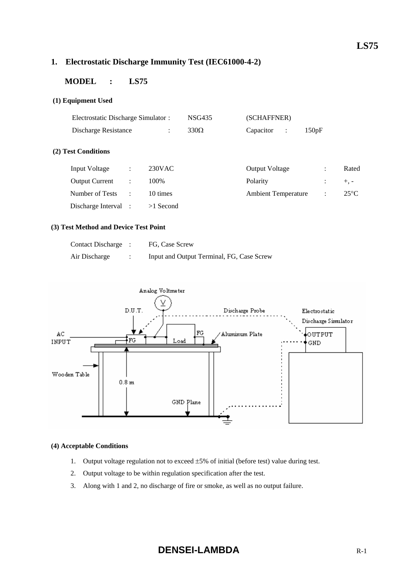# **LS75**

# **1. Electrostatic Discharge Immunity Test (IEC61000-4-2)**

# **MODEL : LS75**

#### **(1) Equipment Used**

|                       | Electrostatic Discharge Simulator : |                |             | (SCHAFFNER)                       |                |               |  |
|-----------------------|-------------------------------------|----------------|-------------|-----------------------------------|----------------|---------------|--|
| Discharge Resistance  |                                     | $\ddot{\cdot}$ | $330\Omega$ | Capacitor<br>$\ddot{\phantom{a}}$ | 150pF          |               |  |
| (2) Test Conditions   |                                     |                |             |                                   |                |               |  |
| Input Voltage         | $\ddot{\phantom{a}}$                | $230$ VAC      |             | <b>Output Voltage</b>             | $\ddot{\cdot}$ | Rated         |  |
| <b>Output Current</b> | $\ddot{\cdot}$                      | 100%           |             | Polarity                          |                | $+, -$        |  |
| Number of Tests       | $\ddot{\phantom{a}}$                | 10 times       |             | <b>Ambient Temperature</b>        | $\ddot{\cdot}$ | $25^{\circ}C$ |  |
| Discharge Interval :  |                                     | $>1$ Second    |             |                                   |                |               |  |

#### **(3) Test Method and Device Test Point**

| Contact Discharge : | FG, Case Screw                            |
|---------------------|-------------------------------------------|
| Air Discharge       | Input and Output Terminal, FG, Case Screw |



#### **(4) Acceptable Conditions**

- 1. Output voltage regulation not to exceed  $\pm 5\%$  of initial (before test) value during test.
- 2. Output voltage to be within regulation specification after the test.
- 3. Along with 1 and 2, no discharge of fire or smoke, as well as no output failure.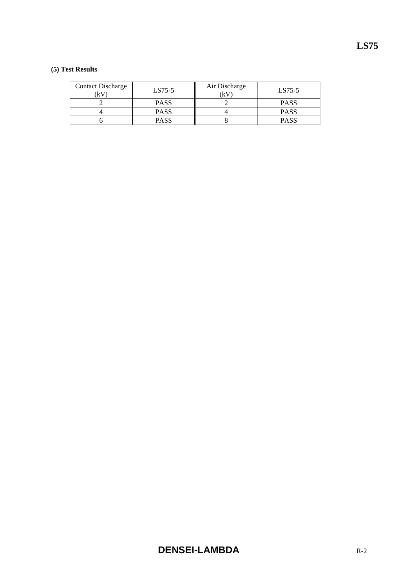| Contact Discharge<br>ίkV | $LS75-5$    | Air Discharge<br>(kV | LS75-5      |
|--------------------------|-------------|----------------------|-------------|
|                          | <b>PASS</b> |                      | <b>PASS</b> |
|                          | <b>PASS</b> |                      | <b>PASS</b> |
|                          | <b>PASS</b> |                      | PASS        |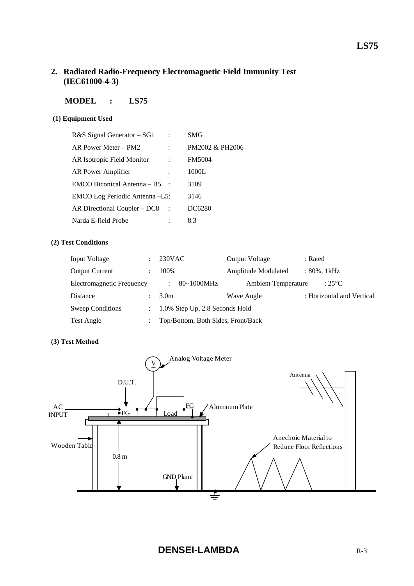# **2. Radiated Radio-Frequency Electromagnetic Field Immunity Test (IEC61000-4-3)**

# **MODEL : LS75**

# **(1) Equipment Used**

| R&S Signal Generator – SG1      | SMG             |
|---------------------------------|-----------------|
| AR Power Meter – PM2            | PM2002 & PH2006 |
| AR Isotropic Field Monitor      | <b>FM5004</b>   |
| AR Power Amplifier              | 1000L           |
| $EMCO$ Biconical Antenna – B5 : | 3109            |
| EMCO Log Periodic Antenna -L5:  | 3146            |
| AR Directional Coupler – DC8    | DC6280          |
| Narda E-field Probe             | 8.3             |

## **(2) Test Conditions**

| Input Voltage             | $\mathbb{R}^{\mathbb{Z}}$ | 230VAC                             | <b>Output Voltage</b>      | : Rated                   |
|---------------------------|---------------------------|------------------------------------|----------------------------|---------------------------|
| <b>Output Current</b>     |                           | 100%                               | Amplitude Modulated        | : 80%, 1kHz               |
| Electromagnetic Frequency |                           | 80~1000MHz<br>$\ddot{\cdot}$       | <b>Ambient Temperature</b> | : $25^{\circ}$ C          |
| <b>Distance</b>           |                           | 3.0 <sub>m</sub>                   | Wave Angle                 | : Horizontal and Vertical |
| Sweep Conditions          | $\mathbb{R}^n$            | 1.0% Step Up, 2.8 Seconds Hold     |                            |                           |
| Test Angle                |                           | Top/Bottom, Both Sides, Front/Back |                            |                           |

# **(3) Test Method**

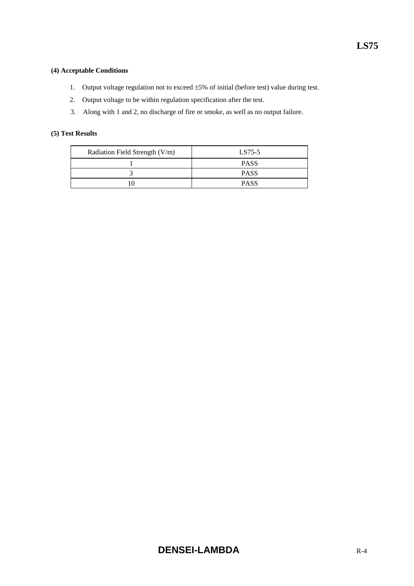#### **(4) Acceptable Conditions**

- 1. Output voltage regulation not to exceed ±5% of initial (before test) value during test.
- 2. Output voltage to be within regulation specification after the test.
- 3. Along with 1 and 2, no discharge of fire or smoke, as well as no output failure.

| Radiation Field Strength (V/m) | $LS75-5$    |
|--------------------------------|-------------|
|                                | <b>PASS</b> |
|                                | <b>PASS</b> |
|                                | <b>PASS</b> |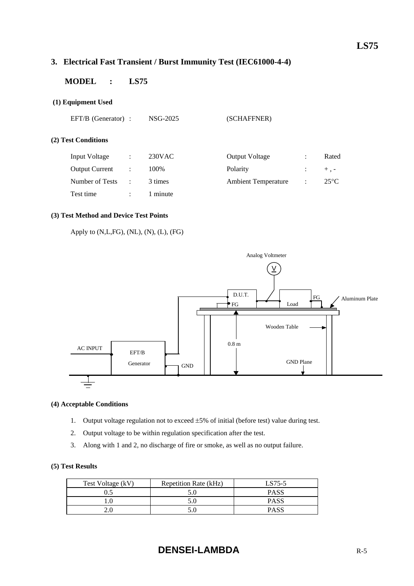# **3. Electrical Fast Transient / Burst Immunity Test (IEC61000-4-4)**

# **MODEL : LS75**

#### **(1) Equipment Used**

| $EFT/B$ (Generator) : |                | NSG-2025 | (SCHAFFNER)                |                      |                |
|-----------------------|----------------|----------|----------------------------|----------------------|----------------|
| (2) Test Conditions   |                |          |                            |                      |                |
| Input Voltage         | $\ddot{\cdot}$ | 230VAC   | <b>Output Voltage</b>      | $\ddot{\cdot}$       | Rated          |
| <b>Output Current</b> | $\ddot{\cdot}$ | 100%     | Polarity                   | $\ddot{\phantom{a}}$ | $+$ , -        |
| Number of Tests       | $\ddot{\cdot}$ | 3 times  | <b>Ambient Temperature</b> | $\ddot{\phantom{a}}$ | $25^{\circ}$ C |

#### **(3) Test Method and Device Test Points**

Apply to (N,L,FG), (NL), (N), (L), (FG)

Test time : 1 minute



#### **(4) Acceptable Conditions**

- 1. Output voltage regulation not to exceed ±5% of initial (before test) value during test.
- 2. Output voltage to be within regulation specification after the test.
- 3. Along with 1 and 2, no discharge of fire or smoke, as well as no output failure.

| Test Voltage (kV) | Repetition Rate (kHz) | LS75-5      |
|-------------------|-----------------------|-------------|
|                   |                       | <b>PASS</b> |
|                   |                       | <b>PASS</b> |
|                   |                       | <b>PASS</b> |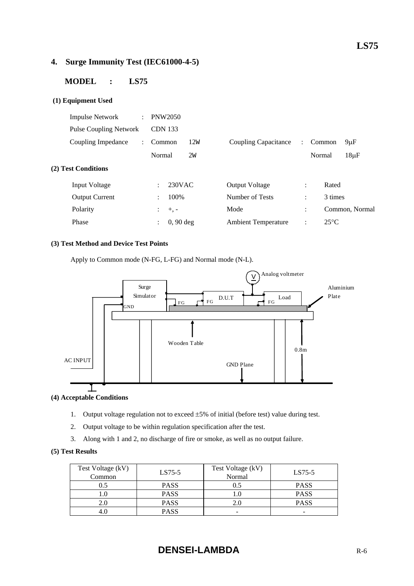# **4. Surge Immunity Test (IEC61000-4-5)**

# **MODEL : LS75**

#### **(1) Equipment Used**

| <b>Impulse Network</b><br>$\ddot{\phantom{a}}$ | <b>PNW2050</b>                         |     |                            |                      |        |                |                |
|------------------------------------------------|----------------------------------------|-----|----------------------------|----------------------|--------|----------------|----------------|
| <b>Pulse Coupling Network</b>                  | <b>CDN 133</b>                         |     |                            |                      |        |                |                |
| Coupling Impedance<br>$\mathcal{L}$            | Common                                 | 12W | Coupling Capacitance       | $\mathcal{L}$        |        | Common         | $9 \mu F$      |
|                                                | Normal                                 | 2w  |                            |                      | Normal |                | $18\mu F$      |
| (2) Test Conditions                            |                                        |     |                            |                      |        |                |                |
| Input Voltage                                  | 230VAC<br>÷.                           |     | <b>Output Voltage</b>      | $\ddot{\cdot}$       |        | Rated          |                |
| <b>Output Current</b>                          | 100\%<br>$\mathcal{L}$                 |     | Number of Tests            | $\ddot{\phantom{a}}$ |        | 3 times        |                |
| Polarity                                       | $\mathbb{Z}^{\mathbb{Z}}$<br>$+$ , $-$ |     | Mode                       | $\ddot{\cdot}$       |        |                | Common, Normal |
| Phase                                          | $0, 90$ deg<br>$\ddot{\phantom{a}}$    |     | <b>Ambient Temperature</b> | $\ddot{\cdot}$       |        | $25^{\circ}$ C |                |
|                                                |                                        |     |                            |                      |        |                |                |

#### **(3) Test Method and Device Test Points**

Apply to Common mode (N-FG, L-FG) and Normal mode (N-L).



#### **(4) Acceptable Conditions**

- 1. Output voltage regulation not to exceed ±5% of initial (before test) value during test.
- 2. Output voltage to be within regulation specification after the test.
- 3. Along with 1 and 2, no discharge of fire or smoke, as well as no output failure.

| Test Voltage (kV)<br>Common | $LS75-5$    | Test Voltage (kV)<br>Normal | $LS75-5$    |
|-----------------------------|-------------|-----------------------------|-------------|
|                             | <b>PASS</b> | 0.5                         | <b>PASS</b> |
|                             | <b>PASS</b> |                             | <b>PASS</b> |
|                             | <b>PASS</b> |                             | <b>PASS</b> |
|                             | <b>PASS</b> | -                           | -           |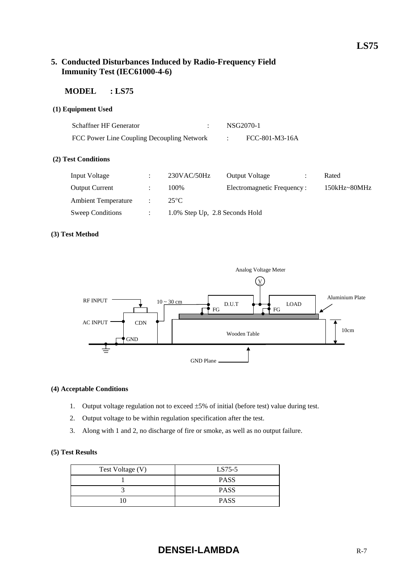# **5. Conducted Disturbances Induced by Radio-Frequency Field Immunity Test (IEC61000-4-6)**

Sweep Conditions : 1.0% Step Up, 2.8 Seconds Hold

# **MODEL : LS75**

#### **(1) Equipment Used**

| Schaffner HF Generator<br>$\ddot{\cdot}$<br>FCC Power Line Coupling Decoupling Network |   | NSG2070-1<br>FCC-801-M3-16A |                            |           |              |
|----------------------------------------------------------------------------------------|---|-----------------------------|----------------------------|-----------|--------------|
| (2) Test Conditions                                                                    |   |                             |                            |           |              |
| Input Voltage                                                                          | ٠ | $230$ VAC/50Hz              | <b>Output Voltage</b>      | $\bullet$ | Rated        |
| <b>Output Current</b>                                                                  | ٠ | 100%                        | Electromagnetic Frequency: |           | 150kHz~80MHz |
| <b>Ambient Temperature</b>                                                             | ٠ | $25^{\circ}$ C              |                            |           |              |
|                                                                                        |   |                             |                            |           |              |

#### **(3) Test Method**



#### **(4) Acceptable Conditions**

- 1. Output voltage regulation not to exceed  $\pm 5\%$  of initial (before test) value during test.
- 2. Output voltage to be within regulation specification after the test.
- 3. Along with 1 and 2, no discharge of fire or smoke, as well as no output failure.

| Test Voltage (V) | LS75-5      |  |
|------------------|-------------|--|
|                  | <b>PASS</b> |  |
|                  | <b>PASS</b> |  |
|                  | <b>PASS</b> |  |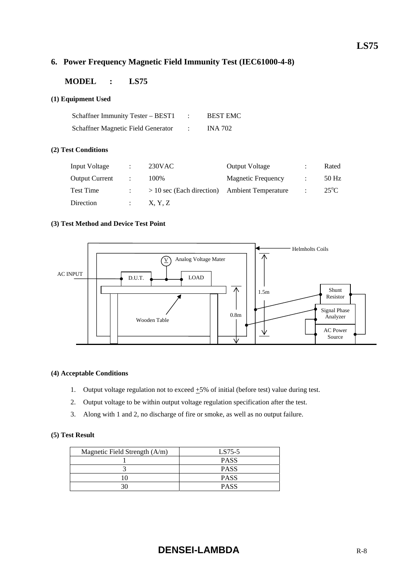# **6. Power Frequency Magnetic Field Immunity Test (IEC61000-4-8)**

## **MODEL : LS75**

#### **(1) Equipment Used**

| Schaffner Immunity Tester – BEST1  | <b>BEST EMC</b> |
|------------------------------------|-----------------|
| Schaffner Magnetic Field Generator | <b>INA 702</b>  |

#### **(2) Test Conditions**

| Input Voltage         | $\ddot{\phantom{a}}$ | $230$ VAC                                       | <b>Output Voltage</b>     |                | Rated         |
|-----------------------|----------------------|-------------------------------------------------|---------------------------|----------------|---------------|
| <b>Output Current</b> |                      | 100%                                            | <b>Magnetic Frequency</b> |                | 50 Hz         |
| <b>Test Time</b>      |                      | $> 10$ sec (Each direction) Ambient Temperature |                           | $\mathbb{R}^2$ | $25^{\circ}C$ |
| Direction             |                      | X, Y, Z                                         |                           |                |               |

#### **(3) Test Method and Device Test Point**



#### **(4) Acceptable Conditions**

- 1. Output voltage regulation not to exceed  $\pm$ 5% of initial (before test) value during test.
- 2. Output voltage to be within output voltage regulation specification after the test.
- 3. Along with 1 and 2, no discharge of fire or smoke, as well as no output failure.

| Magnetic Field Strength $(A/m)$ | LS75-5      |  |  |
|---------------------------------|-------------|--|--|
|                                 | <b>PASS</b> |  |  |
|                                 | <b>PASS</b> |  |  |
|                                 | <b>PASS</b> |  |  |
|                                 | <b>PASS</b> |  |  |